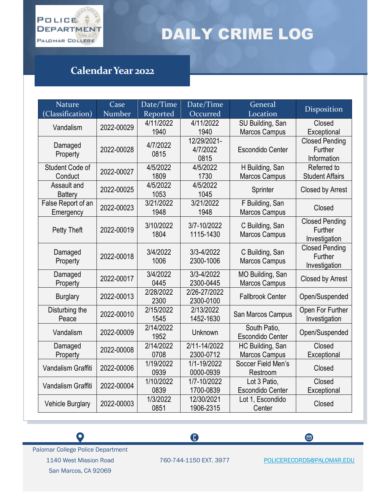

## DAILY CRIME LOG

## **Calendar Year 2022**

| <b>Nature</b>           | Case       | Date/Time         | Date/Time                | General                          | Disposition            |
|-------------------------|------------|-------------------|--------------------------|----------------------------------|------------------------|
| (Classification)        | Number     | Reported          | Occurred                 | Location                         |                        |
| Vandalism               | 2022-00029 | 4/11/2022         | 4/11/2022                | SU Building, San                 | Closed                 |
|                         |            | 1940              | 1940                     | <b>Marcos Campus</b>             | Exceptional            |
| Damaged                 |            | 4/7/2022          | 12/29/2021-              |                                  | <b>Closed Pending</b>  |
| Property                | 2022-00028 | 0815              | 4/7/2022                 | <b>Escondido Center</b>          | Further                |
|                         |            |                   | 0815                     |                                  | Information            |
| Student Code of         | 2022-00027 | 4/5/2022          | 4/5/2022                 | H Building, San                  | Referred to            |
| Conduct                 |            | 1809              | 1730                     | <b>Marcos Campus</b>             | <b>Student Affairs</b> |
| Assault and             | 2022-00025 | 4/5/2022          | 4/5/2022                 | Sprinter                         | Closed by Arrest       |
| <b>Battery</b>          |            | 1053              | 1045                     |                                  |                        |
| False Report of an      | 2022-00023 | 3/21/2022         | 3/21/2022                | F Building, San                  | Closed                 |
| Emergency               |            | 1948              | 1948                     | <b>Marcos Campus</b>             |                        |
|                         | 2022-00019 | 3/10/2022<br>1804 | 3/7-10/2022<br>1115-1430 | C Building, San<br>Marcos Campus | <b>Closed Pending</b>  |
| Petty Theft             |            |                   |                          |                                  | Further                |
|                         |            |                   |                          |                                  | Investigation          |
| Damaged                 |            | 3/4/2022          | 3/3-4/2022               | C Building, San                  | <b>Closed Pending</b>  |
| Property                | 2022-00018 | 1006              | 2300-1006                | <b>Marcos Campus</b>             | Further                |
|                         |            |                   |                          |                                  | Investigation          |
| Damaged                 | 2022-00017 | 3/4/2022          | 3/3-4/2022               | MO Building, San                 | Closed by Arrest       |
| Property                |            | 0445              | 2300-0445                | <b>Marcos Campus</b>             |                        |
| <b>Burglary</b>         | 2022-00013 | 2/28/2022         | 2/26-27/2022             | <b>Fallbrook Center</b>          | Open/Suspended         |
|                         |            | 2300              | 2300-0100                |                                  |                        |
| Disturbing the          | 2022-00010 | 2/15/2022         | 2/13/2022                | San Marcos Campus                | Open For Further       |
| Peace                   |            | 1545              | 1452-1630                |                                  | Investigation          |
| Vandalism               | 2022-00009 | 2/14/2022         | Unknown                  | South Patio,                     | Open/Suspended         |
|                         |            | 1952              |                          | <b>Escondido Center</b>          |                        |
| Damaged                 | 2022-00008 | 2/14/2022         | 2/11-14/2022             | HC Building, San                 | Closed                 |
| Property                |            | 0708              | 2300-0712                | <b>Marcos Campus</b>             | Exceptional            |
| Vandalism Graffiti      | 2022-00006 | 1/19/2022         | 1/1-19/2022              | Soccer Field Men's               | Closed                 |
|                         |            | 0939              | 0000-0939                | Restroom                         |                        |
| Vandalism Graffiti      | 2022-00004 | 1/10/2022         | 1/7-10/2022              | Lot 3 Patio,                     | Closed                 |
|                         |            | 0839              | 1700-0839                | <b>Escondido Center</b>          | Exceptional            |
|                         | 2022-00003 | 1/3/2022          | 12/30/2021               | Lot 1, Escondido                 | Closed                 |
| <b>Vehicle Burglary</b> |            | 0851              | 1906-2315                | Center                           |                        |

 $\bullet$ 

 $\bigoplus$ 

760-744-1150 EXT. 3977 [POLICERECORDS@PALOMAR.EDU](mailto:POLICERECORDS@PALOMAR.EDU)

 $\bullet$